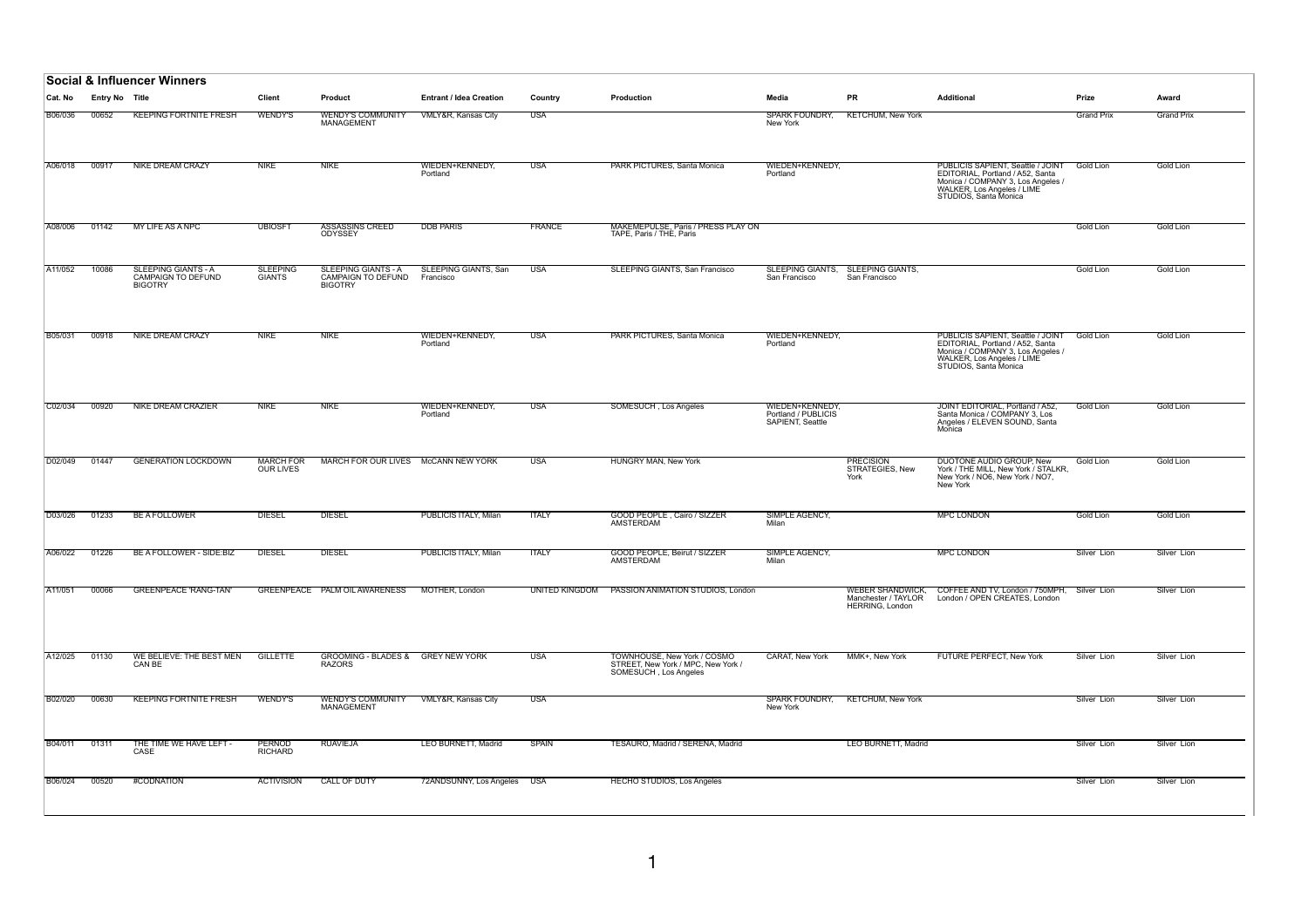|                |                       | <b>Social &amp; Influencer Winners</b>                      |                                      |                                                                           |                                    |               |                                                                                            |                                                            |                                               |                                                                                                                                                                   |                   |                   |
|----------------|-----------------------|-------------------------------------------------------------|--------------------------------------|---------------------------------------------------------------------------|------------------------------------|---------------|--------------------------------------------------------------------------------------------|------------------------------------------------------------|-----------------------------------------------|-------------------------------------------------------------------------------------------------------------------------------------------------------------------|-------------------|-------------------|
| ∣Cat. No       | <b>Entry No Title</b> |                                                             | <b>Client</b>                        | Product                                                                   | <b>Entrant / Idea Creation</b>     | Country       | <b>Production</b>                                                                          | Media                                                      | <b>PR</b>                                     | <b>Additional</b>                                                                                                                                                 | Prize             | Award             |
| <b>B06/036</b> | 00652                 | <b>KEEPING FORTNITE FRESH</b>                               | <b>WENDY'S</b>                       | <b>WENDY'S COMMUNITY</b><br><b>MANAGEMENT</b>                             | <b>VMLY&amp;R, Kansas City</b>     | USA           |                                                                                            | <b>SPARK FOUNDRY,</b><br>New York                          | <b>KETCHUM, New York</b>                      |                                                                                                                                                                   | <b>Grand Prix</b> | <b>Grand Prix</b> |
| A06/018        | 00917                 | <b>NIKE DREAM CRAZY</b>                                     | <b>NIKE</b>                          | <b>NIKE</b>                                                               | WIEDEN+KENNEDY,<br>Portland        | <b>USA</b>    | <b>PARK PICTURES, Santa Monica</b>                                                         | WIEDEN+KENNEDY,<br>Portland                                |                                               | PUBLICIS SAPIENT, Seattle / JOINT<br>EDITORIAL, Portland / A52, Santa<br>Monica / COMPANY 3, Los Angeles /<br>WALKER, Los Angeles / LIME<br>STUDIOS, Santa Monica | <b>Gold Lion</b>  | <b>Gold Lion</b>  |
| A08/006        | 01142                 | MY LIFE AS A NPC                                            | <b>UBIOSFT</b>                       | <b>ASSASSINS CREED</b><br>ODYSSEY                                         | <b>DDB PARIS</b>                   | <b>FRANCE</b> | MAKEMEPULSE, Paris / PRESS PLAY ON<br>TAPE, Paris / THE, Paris                             |                                                            |                                               |                                                                                                                                                                   | Gold Lion         | Gold Lion         |
| A11/052        | 10086                 | SLEEPING GIANTS - A<br>CAMPAIGN TO DEFUND<br><b>BIGOTRY</b> | SLEEPING<br>GIANTS                   | <b>SLEEPING GIANTS - A</b><br><b>CAMPAIGN TO DEFUND</b><br><b>BIGOTRY</b> | SLEEPING GIANTS, San<br>Francisco  | <b>USA</b>    | SLEEPING GIANTS, San Francisco                                                             | <b>SLEEPING GIANTS,</b><br>San Francisco                   | SLEEPING GIANTS,<br>San Francisco             |                                                                                                                                                                   | Gold Lion         | <b>Gold Lion</b>  |
| B05/031        | 00918                 | <b>NIKE DREAM CRAZY</b>                                     | <b>NIKE</b>                          | <b>NIKE</b>                                                               | WIEDEN+KENNEDY,<br>Portland        | <b>USA</b>    | <b>PARK PICTURES, Santa Monica</b>                                                         | WIEDEN+KENNEDY.<br>Portland                                |                                               | PUBLICIS SAPIENT, Seattle / JOINT<br>EDITORIAL, Portland / A52, Santa<br>Monica / COMPANY 3, Los Angeles /<br>WALKER, Los Angeles / LIME<br>STUDIOS, Santa Monica | <b>Gold Lion</b>  | Gold Lion         |
| C02/034        | 00920                 | <b>NIKE DREAM CRAZIER</b>                                   | <b>NIKE</b>                          | <b>NIKE</b>                                                               | <u>WIEDEN+KENNEDY,</u><br>Portland | USA           | SOMESUCH, Los Angeles                                                                      | WIEDEN+KENNEDY,<br>Portland / PUBLICIS<br>SAPIENT, Seattle |                                               | JOINT EDITORIAL, Portland / A52,<br>Santa Monica / COMPANY 3, Los<br>Angeles / ELEVEN SOUND, Santa<br>Monica                                                      | <b>Gold Lion</b>  | Gold Lion         |
| D02/049        | 01447                 | <b>GENERATION LOCKDOWN</b>                                  | <b>MARCH FOR</b><br><b>OUR LIVES</b> | MARCH FOR OUR LIVES McCANN NEW YORK                                       |                                    | <b>USA</b>    | HUNGRY MAN, New York                                                                       |                                                            | <b>PRECISION</b><br>STRATEGIES, New<br>York   | DUOTONE AUDIO GROUP, New<br>York / THE MILL, New York / STALKR,<br>New York / NO6, New York / NO7,<br>New York                                                    | Gold Lion         | <b>Gold Lion</b>  |
| D03/026        | 01233                 | <b>BE A FOLLOWER</b>                                        | <b>DIESEL</b>                        | <b>DIESEL</b>                                                             | PUBLICIS ITALY, Milan              | <b>ITALY</b>  | GOOD PEOPLE, Cairo / SIZZER<br>AMSTERDAM                                                   | SIMPLE AGENCY.<br>Milan                                    |                                               | <b>MPC LONDON</b>                                                                                                                                                 | Gold Lion         | Gold Lion         |
| A06/022        | 01226                 | BE A FOLLOWER - SIDE:BIZ                                    | <b>DIESEL</b>                        | <b>DIESEL</b>                                                             | <b>PUBLICIS ITALY, Milan</b>       | <b>ITALY</b>  | <b>GOOD PEOPLE, Beirut / SIZZER</b><br>AMSTERDAM                                           | <b>SIMPLE AGENCY,</b><br>Milan                             |                                               | <b>MPC LONDON</b>                                                                                                                                                 | Silver Lion       | Silver Lion       |
| A11/051        | 00066                 | <b>GREENPEACE 'RANG-TAN'</b>                                |                                      | GREENPEACE PALM OIL AWARENESS                                             | MOTHER, London                     |               | UNITED KINGDOM PASSION ANIMATION STUDIOS, London                                           |                                                            | Manchester / TAYLOR<br><b>HERRING, London</b> | WEBER SHANDWICK, COFFEE AND TV, London / 750MPH, Silver Lion<br>London / OPEN CREATES, London                                                                     |                   | Silver Lion       |
| A12/025        | 01130                 | WE BELIEVE: THE BEST MEN<br>CAN BE                          | <b>GILLETTE</b>                      | GROOMING - BLADES & GREY NEW YORK<br><b>RAZORS</b>                        |                                    | <b>USA</b>    | TOWNHOUSE, New York / COSMO<br>STREET. New York / MPC. New York /<br>SOMESÚCH, Los Angeles | <b>CARAT, New York</b>                                     | MMK+, New York                                | <b>FUTURE PERFECT. New York</b>                                                                                                                                   | Silver Lion       | Silver Lion       |
| <b>B02/020</b> | 00630                 | <b>KEEPING FORTNITE FRESH</b>                               | <b>WENDY'S</b>                       | <b>WENDY'S COMMUNITY</b><br>MANAGEMENT                                    | VMLY&R, Kansas City                | <b>USA</b>    |                                                                                            | New York                                                   | SPARK FOUNDRY, KETCHUM, New York              |                                                                                                                                                                   | Silver Lion       | Silver Lion       |
| B04/011        | 01311                 | THE TIME WE HAVE LEFT -<br>CASE                             | <b>PERNOD</b><br>RICHARD             | <b>RUAVIEJA</b>                                                           | LEO BURNETT, Madrid                | <b>SPAIN</b>  | TESAURO, Madrid / SERENA, Madrid                                                           |                                                            | LEO BURNETT, Madrid                           |                                                                                                                                                                   | Silver Lion       | Silver Lion       |
| <b>B06/024</b> | 00520                 | #CODNATION                                                  | ACTIVISION                           | CALL OF DUTY                                                              | 72ANDSUNNY, Los Angeles USA        |               | <b>HECHO STUDIOS, Los Angeles</b>                                                          |                                                            |                                               |                                                                                                                                                                   | Silver Lion       | Silver Lion       |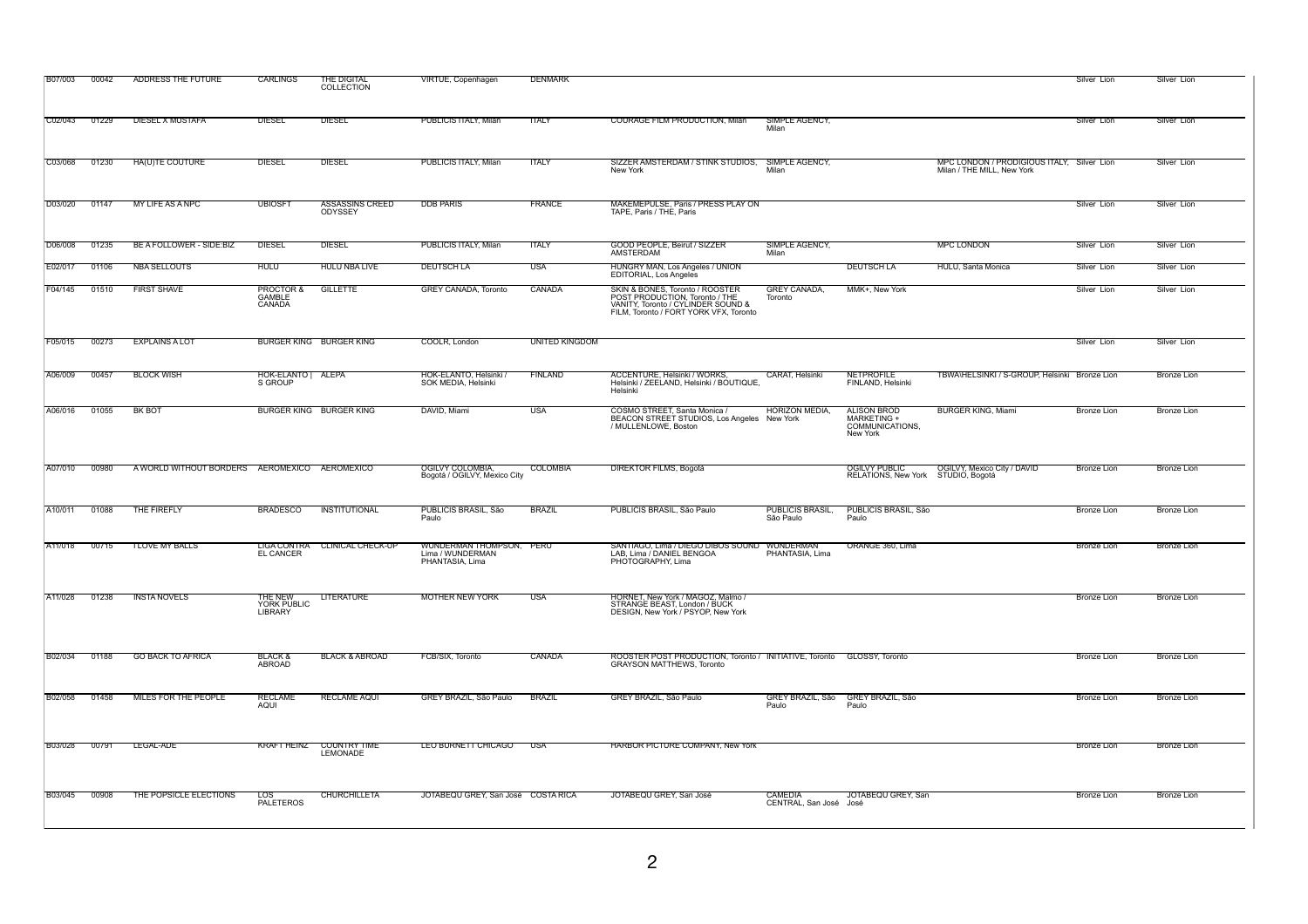| <b>B07/003</b> | 00042 | ADDRESS THE FUTURE                            | <b>CARLINGS</b>                      | THE DIGITAL<br>COLLECTION                | VIRTUE, Copenhagen                                              | <b>DENMARK</b>        |                                                                                                                                                   |                                     |                                                                  |                                                                          | Silver Lion        | Silver Lion        |
|----------------|-------|-----------------------------------------------|--------------------------------------|------------------------------------------|-----------------------------------------------------------------|-----------------------|---------------------------------------------------------------------------------------------------------------------------------------------------|-------------------------------------|------------------------------------------------------------------|--------------------------------------------------------------------------|--------------------|--------------------|
| C02/043        | 01229 | DIESEL X MUSTAFA                              | <b>DIESEL</b>                        | <b>DIESEL</b>                            | PUBLICIS ITALY, Milan                                           | <b>ITALY</b>          | <b>COURAGE FILM PRODUCTION, Milan</b>                                                                                                             | SIMPLE AGENCY,<br>Milan             |                                                                  |                                                                          | Silver Lion        | Silver Lion        |
| C03/068        | 01230 | HA(U)TE COUTURE                               | <b>DIESEL</b>                        | <b>DIESEL</b>                            | PUBLICIS ITALY, Milan                                           | <b>TTALY</b>          | SIZZER AMSTERDAM / STINK STUDIOS,<br>New York                                                                                                     | SIMPLE AGENCY,<br>Milan             |                                                                  | MPC LONDON / PRODIGIOUS ITALY, Silver Lion<br>Milan / THE MILL, New York |                    | Silver Lion        |
| D03/020        | 01147 | MY LIFE AS A NPC                              | <b>UBIOSFT</b>                       | <b>ASSASSINS CREED</b><br><b>ODYSSEY</b> | <b>DDB PARIS</b>                                                | <b>FRANCE</b>         | <b>MAKEMEPULSE, Paris / PRESS PLAY ON</b><br>TAPE, Paris / THE, Paris                                                                             |                                     |                                                                  |                                                                          | Silver Lion        | Silver Lion        |
| D06/008        | 01235 | BE A FOLLOWER - SIDE:BIZ                      | <b>DIESEL</b>                        | <b>DIESEL</b>                            | PUBLICIS ITALY, Milan                                           | <b>TTALY</b>          | <b>GOOD PEOPLE, Beirut / SIZZER</b><br><b>AMSTERDAM</b>                                                                                           | SIMPLE AGENCY,<br>Milan             |                                                                  | <b>MPC LONDON</b>                                                        | Silver Lion        | Silver Lion        |
| E02/017        | 01106 | <b>NBA SELLOUTS</b>                           | <b>HULU</b>                          | <b>HULU NBA LIVE</b>                     | <b>DEUTSCH LA</b>                                               | <b>USA</b>            | HUNGRY MAN, Los Angeles / UNION<br>EDITORIAL, Los Angeles                                                                                         |                                     | <b>DEUTSCH LA</b>                                                | HULU, Santa Monica                                                       | Silver Lion        | Silver Lion        |
| F04/145        | 01510 | <b>FIRST SHAVE</b>                            | PROCTOR &<br><b>GAMBLE</b><br>CANADA | <b>GILLETTE</b>                          | <b>GREY CANADA, Toronto</b>                                     | <b>CANADA</b>         | SKIN & BONES, Toronto / ROOSTER<br>POST PRODUCTION. Toronto / THE<br>VANITY, Toronto / CYLINDER SOUND &<br>FILM. Toronto / FORT YORK VFX. Toronto | <b>GREY CANADA,</b><br>Toronto      | MMK+, New York                                                   |                                                                          | Silver Lion        | Silver Lion        |
| F05/015        | 00273 | <b>EXPLAINS A LOT</b>                         |                                      | <b>BURGER KING BURGER KING</b>           | COOLR, London                                                   | <b>UNITED KINGDOM</b> |                                                                                                                                                   |                                     |                                                                  |                                                                          | Silver Lion        | Silver Lion        |
| A06/009        | 00457 | <b>BLOCK WISH</b>                             | HOK-ELANTO   ALEPA<br>S GROUP        |                                          | HOK-ELANTO, Helsinki /<br>SOK MEDIA, Helsinki                   | <b>FINLAND</b>        | ACCENTURE, Helsinki / WÖRKS.<br>Helsinki / ZEELAND, Helsinki / BOUTIQUE,<br>Helsinki                                                              | <b>CARAT, Helsinki</b>              | <b>NETPROFILE</b><br>FINLAND, Helsinki                           | TBWA\HELSINKI / S-GROUP, Helsinki Bronze Lion                            |                    | <b>Bronze Lion</b> |
| A06/016        | 01055 | BK BOT                                        |                                      | <b>BURGER KING BURGER KING</b>           | DAVID, Miami                                                    | USA                   | COSMO STREET, Santa Monica /<br>BEACON STREET STUDIOS, Los Angeles New York<br>/ MULLENLOWE, Boston                                               | <b>HORIZON MEDIA,</b>               | <b>ALISON BROD</b><br>MARKETING +<br>COMMUNICATIONS,<br>New York | <b>BURGER KING, Miami</b>                                                | <b>Bronze Lion</b> | <b>Bronze Lion</b> |
| A07/010        | 00980 | A WORLD WITHOUT BORDERS AEROMEXICO AEROMEXICO |                                      |                                          | OGILVY COLOMBIA,<br>Bogotá / OGILVY, Mexico City                | <b>COLOMBIA</b>       | <b>DIREKTOR FILMS, Bogotá</b>                                                                                                                     |                                     | OGILVY PUBLIC<br>RELATIONS, New York STUDIO, Bogotá              | <b>OGILVY, Mexico City / DAVID</b>                                       | <b>Bronze Lion</b> | <b>Bronze Lion</b> |
| A10/011        | 01088 | THE FIREFLY                                   | <b>BRADESCO</b>                      | INSTITUTIONAL                            | PUBLICIS BRASIL, São<br>Paulo                                   | <b>BRAZIL</b>         | PUBLICIS BRASIL, São Paulo                                                                                                                        | <b>PUBLICIS BRASIL</b><br>São Paulo | PUBLICIS BRASIL, São<br>Paulo                                    |                                                                          | Bronze Lion        | <b>Bronze Lion</b> |
| A11/018        | 00715 | <b>I LOVE MY BALLS</b>                        | <b>EL CANCER</b>                     | LIGA CONTRA CLINICAL CHECK-UP            | WUNDERMAN THOMPSON, PERU<br>Lima / WUNDERMAN<br>PHANTASIA, Lima |                       | SANTIAGO, Lima / DIEGO DIBOS SOUND WUNDERMAN<br>LAB, Lima / DANIEL BENGOA<br>PHOTOGRAPHY, Lima                                                    | PHANTASIA, Lima                     | ORANGE 360, Lima                                                 |                                                                          | <b>Bronze Lion</b> | <b>Bronze Lion</b> |
| A11/028        | 01238 | <b>INSTA NOVELS</b>                           | THE NEW<br>YORK PUBLIC<br>LIBRARY    | <b>LITERATURE</b>                        | <b>MOTHER NEW YORK</b>                                          | USA                   | HORNET, New York / MAGOZ, Malmo /<br>STRANGE BEAST, London / BUCK<br>DESIGN, New York / PSYOP, New York                                           |                                     |                                                                  |                                                                          | <b>Bronze Lion</b> | <b>Bronze Lion</b> |
| <b>B02/034</b> | 01188 | <b>GO BACK TO AFRICA</b>                      | BLACK &<br>ABROAD                    | <b>BLACK &amp; ABROAD</b>                | FCB/SIX, Toronto                                                | CANADA                | ROOSTER POST PRODUCTION, Toronto / INITIATIVE, Toronto GLOSSY, Toronto<br><b>GRAYSON MATTHEWS, Toronto</b>                                        |                                     |                                                                  |                                                                          | <b>Bronze Lion</b> | <b>Bronze Lion</b> |
| <b>B02/058</b> | 01458 | MILES FOR THE PEOPLE                          | <b>RECLAME</b><br>AQUI               | <b>RECLAME AQUI</b>                      | GREY BRAZIL, São Paulo                                          | <b>BRAZIL</b>         | GREY BRAZIL, São Paulo                                                                                                                            | GREY BRAZIL, São<br>Paulo           | GREY BRAZIL, São<br>Paulo                                        |                                                                          | <b>Bronze Lion</b> | <b>Bronze Lion</b> |
| <b>B03/028</b> | 00791 | LEGAL-ADE                                     | <b>KRAFT HEINZ</b>                   | <b>COUNTRY TIME</b><br><b>LEMONADE</b>   | LEO BURNETT CHICAGO                                             | USA                   | <b>HARBOR PICTURE COMPANY, New York</b>                                                                                                           |                                     |                                                                  |                                                                          | <b>Bronze Lion</b> | <b>Bronze Lion</b> |
| B03/045        | 00908 | THE POPSICLE ELECTIONS                        | LOS<br><b>PALETEROS</b>              | <b>CHURCHILLETA</b>                      | JOTABEQU GREY, San José COSTA RICA                              |                       | JOTABEQU GREY, San José                                                                                                                           | CAMEDIA<br>CENTRAL, San José José   | JOTABEQU GREY, San                                               |                                                                          | Bronze Lion        | Bronze Lion        |